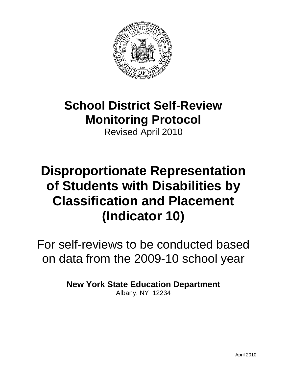

## **School District Self-Review Monitoring Protocol**

Revised April 2010

## **Disproportionate Representation of Students with Disabilities by Classification and Placement (Indicator 10)**

For self-reviews to be conducted based on data from the 2009-10 school year

**New York State Education Department**

Albany, NY 12234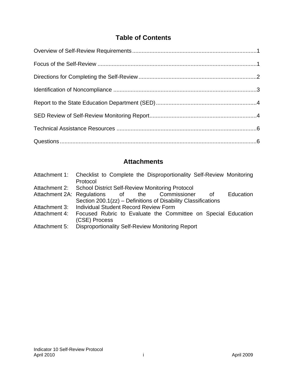## **Table of Contents**

## **Attachments**

|               | Attachment 1: Checklist to Complete the Disproportionality Self-Review Monitoring<br>Protocol |
|---------------|-----------------------------------------------------------------------------------------------|
|               | Attachment 2: School District Self-Review Monitoring Protocol                                 |
|               | Attachment 2A: Regulations of the Commissioner<br>Education<br>0f                             |
|               | Section 200.1(zz) – Definitions of Disability Classifications                                 |
| Attachment 3: | Individual Student Record Review Form                                                         |
| Attachment 4: | Focused Rubric to Evaluate the Committee on Special Education                                 |
|               | (CSE) Process                                                                                 |
| Attachment 5: | Disproportionality Self-Review Monitoring Report                                              |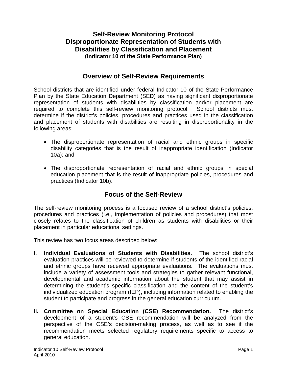### **Self-Review Monitoring Protocol Disproportionate Representation of Students with Disabilities by Classification and Placement (Indicator 10 of the State Performance Plan)**

#### **Overview of Self-Review Requirements**

School districts that are identified under federal Indicator 10 of the State Performance Plan by the State Education Department (SED) as having significant disproportionate representation of students with disabilities by classification and/or placement are required to complete this self-review monitoring protocol. School districts must determine if the district's policies, procedures and practices used in the classification and placement of students with disabilities are resulting in disproportionality in the following areas:

- The disproportionate representation of racial and ethnic groups in specific disability categories that is the result of inappropriate identification (Indicator 10a); and
- The disproportionate representation of racial and ethnic groups in special education placement that is the result of inappropriate policies, procedures and practices (Indicator 10b).

## **Focus of the Self-Review**

The self-review monitoring process is a focused review of a school district's policies, procedures and practices (i.e., implementation of policies and procedures) that most closely relates to the classification of children as students with disabilities or their placement in particular educational settings.

This review has two focus areas described below:

- **I. Individual Evaluations of Students with Disabilities.** The school district's evaluation practices will be reviewed to determine if students of the identified racial and ethnic groups have received appropriate evaluations. The evaluations must include a variety of assessment tools and strategies to gather relevant functional, developmental and academic information about the student that may assist in determining the student's specific classification and the content of the student's individualized education program (IEP), including information related to enabling the student to participate and progress in the general education curriculum.
- **II. Committee on Special Education (CSE) Recommendation.** The district's development of a student's CSE recommendation will be analyzed from the perspective of the CSE's decision-making process, as well as to see if the recommendation meets selected regulatory requirements specific to access to general education.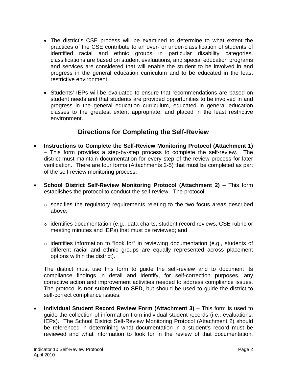- • The district's CSE process will be examined to determine to what extent the practices of the CSE contribute to an over- or under-classification of students of identified racial and ethnic groups in particular disability categories, classifications are based on student evaluations, and special education programs and services are considered that will enable the student to be involved in and progress in the general education curriculum and to be educated in the least restrictive environment.
- Students' IEPs will be evaluated to ensure that recommendations are based on student needs and that students are provided opportunities to be involved in and progress in the general education curriculum, educated in general education classes to the greatest extent appropriate, and placed in the least restrictive environment.

## **Directions for Completing the Self-Review**

- **Instructions to Complete the Self-Review Monitoring Protocol (Attachment 1)** – This form provides a step-by-step process to complete the self-review. The district must maintain documentation for every step of the review process for later verification. There are four forms (Attachments 2-5) that must be completed as part of the self-review monitoring process.
- • **School District Self-Review Monitoring Protocol (Attachment 2)** This form establishes the protocol to conduct the self-review. The protocol:
	- $\circ$  specifies the regulatory requirements relating to the two focus areas described above;
	- $\circ$  identifies documentation (e.g., data charts, student record reviews, CSE rubric or meeting minutes and IEPs) that must be reviewed; and
	- o identifies information to "look for" in reviewing documentation (e.g., students of different racial and ethnic groups are equally represented across placement options within the district).

The district must use this form to guide the self-review and to document its compliance findings in detail and identify, for self-correction purposes, any corrective action and improvement activities needed to address compliance issues. The protocol is **not submitted to SED**, but should be used to guide the district to self-correct compliance issues.

reviewed and what information to look for in the review of that documentation.<br>Indicator 10 Self-Review Protocol Page 2 **Individual Student Record Review Form (Attachment 3)** – This form is used to guide the collection of information from individual student records (i.e., evaluations, IEPs). The School District Self-Review Monitoring Protocol (Attachment 2) should be referenced in determining what documentation in a student's record must be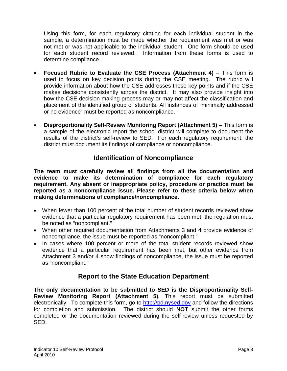determine compliance. Using this form, for each regulatory citation for each individual student in the sample, a determination must be made whether the requirement was met or was not met or was not applicable to the individual student. One form should be used for each student record reviewed. Information from these forms is used to

- **Focused Rubric to Evaluate the CSE Process (Attachment 4)** This form is used to focus on key decision points during the CSE meeting. The rubric will provide information about how the CSE addresses these key points and if the CSE makes decisions consistently across the district. It may also provide insight into how the CSE decision-making process may or may not affect the classification and placement of the identified group of students. All instances of "minimally addressed or no evidence" must be reported as noncompliance.
- **Disproportionality Self-Review Monitoring Report (Attachment 5) This form is** a sample of the electronic report the school district will complete to document the results of the district's self-review to SED. For each regulatory requirement, the district must document its findings of compliance or noncompliance.

## **Identification of Noncompliance**

**The team must carefully review all findings from all the documentation and evidence to make its determination of compliance for each regulatory requirement. Any absent or inappropriate policy, procedure or practice must be reported as a noncompliance issue. Please refer to these criteria below when making determinations of compliance/noncompliance.** 

- When fewer than 100 percent of the total number of student records reviewed show evidence that a particular regulatory requirement has been met, the regulation must be noted as "noncompliant."
- When other required documentation from Attachments 3 and 4 provide evidence of noncompliance, the issue must be reported as "noncompliant."
- In cases where 100 percent or more of the total student records reviewed show evidence that a particular requirement has been met, but other evidence from Attachment 3 and/or 4 show findings of noncompliance, the issue must be reported as "noncompliant."

## **Report to the State Education Department**

**The only documentation to be submitted to SED is the Disproportionality Self-Review Monitoring Report (Attachment 5).** This report must be submitted electronically. To complete this form, go to [http://pd.nysed.gov](http://pd.nysed.gov/) and follow the directions for completion and submission. The district should **NOT** submit the other forms completed or the documentation reviewed during the self-review unless requested by SED.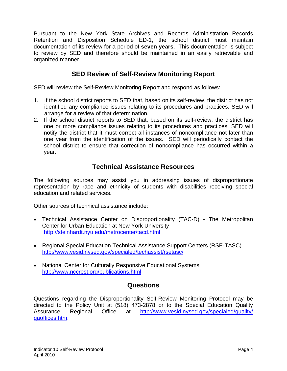Pursuant to the New York State Archives and Records Administration Records Retention and Disposition Schedule ED-1, the school district must maintain documentation of its review for a period of **seven years**. This documentation is subject to review by SED and therefore should be maintained in an easily retrievable and organized manner.

## **SED Review of Self-Review Monitoring Report**

SED will review the Self-Review Monitoring Report and respond as follows:

- 1. If the school district reports to SED that, based on its self-review, the district has not identified any compliance issues relating to its procedures and practices, SED will arrange for a review of that determination.
- 2. If the school district reports to SED that, based on its self-review, the district has one or more compliance issues relating to its procedures and practices, SED will notify the district that it must correct all instances of noncompliance not later than one year from the identification of the issues. SED will periodically contact the school district to ensure that correction of noncompliance has occurred within a year.

## **Technical Assistance Resources**

The following sources may assist you in addressing issues of disproportionate representation by race and ethnicity of students with disabilities receiving special education and related services.

Other sources of technical assistance include:

- Technical Assistance Center on Disproportionality (TAC-D) The Metropolitan Center for Urban Education at New York University <http://steinhardt.nyu.edu/metrocenter/tacd.html>
- Regional Special Education Technical Assistance Support Centers (RSE-TASC) <http://www.vesid.nysed.gov/specialed/techassist/rsetasc/>
- National Center for Culturally Responsive Educational Systems <http://www.nccrest.org/publications.html>

## **Questions**

Questions regarding the Disproportionality Self-Review Monitoring Protocol may be directed to the Policy Unit at (518) 473-2878 or to the Special Education Quality Assurance Regional Office at [http://www.vesid.nysed.gov/specialed/quality/](http://www.vesid.nysed.gov/specialed/quality/qaoffices.htm)  [qaoffices.htm](http://www.vesid.nysed.gov/specialed/quality/qaoffices.htm).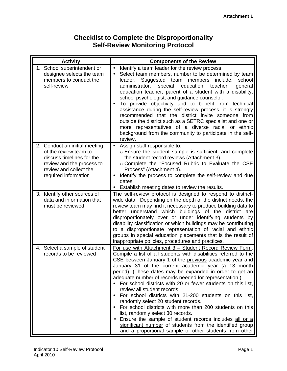## **Checklist to Complete the Disproportionality Self-Review Monitoring Protocol**

| <b>Activity</b>                                                                                                                                                    | <b>Components of the Review</b>                                                                                                                                                                                                                                                                                                                                                                                                                                                                                                                                                                                                                                                                                                                                                                                                                                                     |
|--------------------------------------------------------------------------------------------------------------------------------------------------------------------|-------------------------------------------------------------------------------------------------------------------------------------------------------------------------------------------------------------------------------------------------------------------------------------------------------------------------------------------------------------------------------------------------------------------------------------------------------------------------------------------------------------------------------------------------------------------------------------------------------------------------------------------------------------------------------------------------------------------------------------------------------------------------------------------------------------------------------------------------------------------------------------|
| 1. School superintendent or<br>designee selects the team<br>members to conduct the<br>self-review                                                                  | Identify a team leader for the review process.<br>Select team members, number to be determined by team<br>leader.<br>Suggested team<br>members<br>include:<br>school<br>education<br>administrator,<br>special<br>teacher,<br>general<br>education teacher, parent of a student with a disability,<br>school psychologist, and guidance counselor.<br>To provide objectivity and to benefit from technical<br>$\bullet$<br>assistance during the self-review process, it is strongly<br>recommended that the district invite someone from<br>outside the district such as a SETRC specialist and one or<br>more representatives of a diverse racial or ethnic<br>background from the community to participate in the self-<br>review.                                                                                                                                               |
| 2. Conduct an initial meeting<br>of the review team to<br>discuss timelines for the<br>review and the process to<br>review and collect the<br>required information | Assign staff responsible to:<br>$\bullet$<br>o Ensure the student sample is sufficient, and complete<br>the student record reviews (Attachment 3).<br>o Complete the "Focused Rubric to Evaluate the CSE<br>Process" (Attachment 4).<br>Identify the process to complete the self-review and due<br>dates.<br>Establish meeting dates to review the results.<br>$\bullet$                                                                                                                                                                                                                                                                                                                                                                                                                                                                                                           |
| 3. Identify other sources of<br>data and information that<br>must be reviewed                                                                                      | The self-review protocol is designed to respond to district-<br>wide data. Depending on the depth of the district needs, the<br>review team may find it necessary to produce building data to<br>better understand which buildings of the<br>district are<br>disproportionately over or under identifying students by<br>disability classification or which buildings may be contributing<br>to a disproportionate representation of racial and ethnic<br>groups in special education placements that is the result of<br>inappropriate policies, procedures and practices.                                                                                                                                                                                                                                                                                                         |
| 4. Select a sample of student<br>records to be reviewed                                                                                                            | For use with Attachment 3 - Student Record Review Form.<br>Compile a list of all students with disabilities referred to the<br>CSE between January 1 of the previous academic year and<br>January 31 of the current academic year (a 13 month<br>period). (These dates may be expanded in order to get an<br>adequate number of records needed for representation.)<br>• For school districts with 20 or fewer students on this list,<br>review all student records.<br>For school districts with 21-200 students on this list,<br>$\bullet$<br>randomly select 20 student records.<br>For school districts with more than 200 students on this<br>$\bullet$<br>list, randomly select 30 records.<br>• Ensure the sample of student records includes all or a<br>significant number of students from the identified group<br>and a proportional sample of other students from other |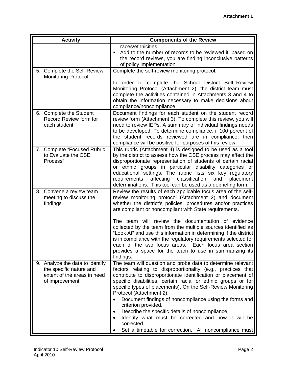| <b>Activity</b>                                                                                             | <b>Components of the Review</b>                                                                                                                                                                                                                                                                                                                                                                                                                                                                                                                                                                                                          |
|-------------------------------------------------------------------------------------------------------------|------------------------------------------------------------------------------------------------------------------------------------------------------------------------------------------------------------------------------------------------------------------------------------------------------------------------------------------------------------------------------------------------------------------------------------------------------------------------------------------------------------------------------------------------------------------------------------------------------------------------------------------|
|                                                                                                             | races/ethnicities.<br>Add to the number of records to be reviewed if, based on<br>the record reviews, you are finding inconclusive patterns<br>of policy implementation.                                                                                                                                                                                                                                                                                                                                                                                                                                                                 |
| 5. Complete the Self-Review<br><b>Monitoring Protocol</b>                                                   | Complete the self-review monitoring protocol.                                                                                                                                                                                                                                                                                                                                                                                                                                                                                                                                                                                            |
|                                                                                                             | In order to complete the School District Self-Review<br>Monitoring Protocol (Attachment 2), the district team must<br>complete the activities contained in Attachments 3 and 4 to<br>obtain the information necessary to make decisions about<br>compliance/noncompliance.                                                                                                                                                                                                                                                                                                                                                               |
| 6. Complete the Student<br>Record Review form for<br>each student                                           | Document findings for each student on the student record<br>review form (Attachment 3). To complete this review, you will<br>need to review IEPs. A summary of individual findings needs<br>to be developed. To determine compliance, if 100 percent of<br>the student records reviewed are in compliance, then<br>compliance will be positive for purposes of this review.                                                                                                                                                                                                                                                              |
| 7. Complete "Focused Rubric<br>to Evaluate the CSE<br>Process"                                              | This rubric (Attachment 4) is designed to be used as a tool<br>by the district to assess how the CSE process may affect the<br>disproportionate representation of students of certain racial<br>or ethnic groups in particular disability categories or<br>educational settings. The rubric lists six key regulatory<br>affecting<br>classification<br>requirements<br>and<br>placement<br>determinations. This tool can be used as a debriefing form.                                                                                                                                                                                   |
| 8. Convene a review team<br>meeting to discuss the<br>findings                                              | Review the results of each applicable focus area of the self-<br>review monitoring protocol (Attachment 2) and document<br>whether the district's policies, procedures and/or practices<br>are compliant or noncompliant with State requirements.                                                                                                                                                                                                                                                                                                                                                                                        |
|                                                                                                             | The team will review the documentation of evidence<br>collected by the team from the multiple sources identified as<br>"Look At" and use this information in determining if the district<br>is in compliance with the regulatory requirements selected for<br>each of the two focus areas. Each focus area section<br>provides a space for the team to use in summarizing its<br>findings.                                                                                                                                                                                                                                               |
| 9. Analyze the data to identify<br>the specific nature and<br>extent of the areas in need<br>of improvement | The team will question and probe data to determine relevant<br>factors relating to disproportionality (e.g., practices that<br>contribute to disproportionate identification or placement of<br>specific disabilities, certain racial or ethnic groups or for<br>specific types of placements). On the Self-Review Monitoring<br>Protocol (Attachment 2):<br>Document findings of noncompliance using the forms and<br>criterion provided.<br>Describe the specific details of noncompliance.<br>$\bullet$<br>Identify what must be corrected and how it will be<br>corrected.<br>Set a timetable for correction. All noncompliance must |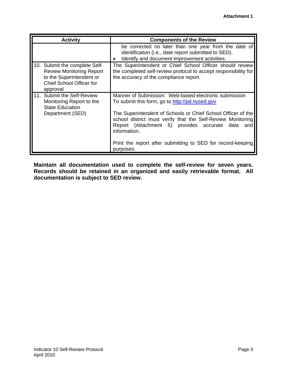| <b>Activity</b>                                                                                                                             | <b>Components of the Review</b>                                                                                                                                                                                                                                                                                                                                                              |  |  |  |  |  |
|---------------------------------------------------------------------------------------------------------------------------------------------|----------------------------------------------------------------------------------------------------------------------------------------------------------------------------------------------------------------------------------------------------------------------------------------------------------------------------------------------------------------------------------------------|--|--|--|--|--|
|                                                                                                                                             | be corrected no later than one year from the date of<br>identification (i.e., date report submitted to SED).<br>Identify and document improvement activities.                                                                                                                                                                                                                                |  |  |  |  |  |
| 10. Submit the complete Self-<br><b>Review Monitoring Report</b><br>to the Superintendent or<br><b>Chief School Officer for</b><br>approval | The Superintendent or Chief School Officer should review<br>the completed self-review protocol to accept responsibility for<br>the accuracy of the compliance report.                                                                                                                                                                                                                        |  |  |  |  |  |
| 11. Submit the Self-Review<br>Monitoring Report to the<br><b>State Education</b><br>Department (SED)                                        | Manner of Submission: Web-based electronic submission<br>To submit this form, go to http://pd.nysed.gov<br>The Superintendent of Schools or Chief School Officer of the<br>school district must verify that the Self-Review Monitoring<br>Report (Attachment 5) provides accurate<br>data<br>and<br>information.<br>Print the report after submitting to SED for record-keeping<br>purposes. |  |  |  |  |  |

**Maintain all documentation used to complete the self-review for seven years. Records should be retained in an organized and easily retrievable format. All documentation is subject to SED review.**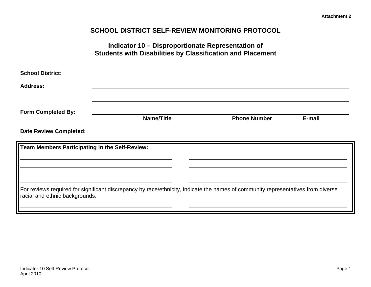### **SCHOOL DISTRICT SELF-REVIEW MONITORING PROTOCOL**

|                                                | Indicator 10 – Disproportionate Representation of<br><b>Students with Disabilities by Classification and Placement</b>           |                     |        |
|------------------------------------------------|----------------------------------------------------------------------------------------------------------------------------------|---------------------|--------|
| <b>School District:</b>                        |                                                                                                                                  |                     |        |
| <b>Address:</b>                                |                                                                                                                                  |                     |        |
| <b>Form Completed By:</b>                      | <b>Name/Title</b>                                                                                                                | <b>Phone Number</b> | E-mail |
| <b>Date Review Completed:</b>                  |                                                                                                                                  |                     |        |
| Team Members Participating in the Self-Review: |                                                                                                                                  |                     |        |
| racial and ethnic backgrounds.                 | For reviews required for significant discrepancy by race/ethnicity, indicate the names of community representatives from diverse |                     |        |

April 2010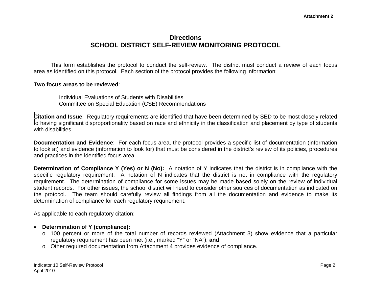### **Directions SCHOOL DISTRICT SELF-REVIEW MONITORING PROTOCOL**

This form establishes the protocol to conduct the self-review. The district must conduct a review of each focus area as identified on this protocol. Each section of the protocol provides the following information:

#### **Two focus areas to be reviewed**:

Individual Evaluations of Students with Disabilities Committee on Special Education (CSE) Recommendations

I. **Citation and Issue**: Regulatory requirements are identified that have been determined by SED to be most closely related II. The contract of the state of systems of the matter of the contract of the classification and placement by type of students with disabilities.

**Documentation and Evidence**: For each focus area, the protocol provides a specific list of documentation (information to look at) and evidence (information to look for) that must be considered in the district's review of its policies, procedures and practices in the identified focus area.

**Determination of Compliance Y (Yes) or N (No):** A notation of Y indicates that the district is in compliance with the specific regulatory requirement. A notation of N indicates that the district is not in compliance with the regulatory requirement. The determination of compliance for some issues may be made based solely on the review of individual student records. For other issues, the school district will need to consider other sources of documentation as indicated on the protocol. The team should carefully review all findings from all the documentation and evidence to make its determination of compliance for each regulatory requirement.

As applicable to each regulatory citation:

- **Determination of Y (compliance):** 
	- o 100 percent or more of the total number of records reviewed (Attachment 3) show evidence that a particular regulatory requirement has been met (i.e., marked "Y" or "NA"); **and**
	- <sup>o</sup> Other required documentation from Attachment 4 provides evidence of compliance.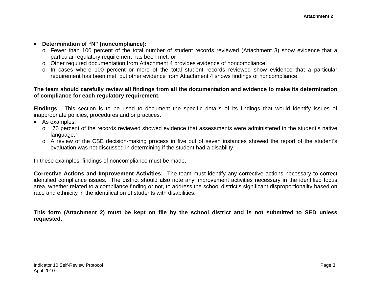#### • **Determination of "N" (noncompliance):**

- o Fewer than 100 percent of the total number of student records reviewed (Attachment 3) show evidence that a particular regulatory requirement has been met; **or**
- o Other required documentation from Attachment 4 provides evidence of noncompliance.
- o In cases where 100 percent or more of the total student records reviewed show evidence that a particular requirement has been met, but other evidence from Attachment 4 shows findings of noncompliance.

#### **The team should carefully review all findings from all the documentation and evidence to make its determination of compliance for each regulatory requirement.**

**Findings**: This section is to be used to document the specific details of its findings that would identify issues of inappropriate policies, procedures and or practices.

- As examples:
	- o "70 percent of the records reviewed showed evidence that assessments were administered in the student's native language."
	- o A review of the CSE decision-making process in five out of seven instances showed the report of the student's evaluation was not discussed in determining if the student had a disability.

In these examples, findings of noncompliance must be made.

**Corrective Actions and Improvement Activities:** The team must identify any corrective actions necessary to correct identified compliance issues. The district should also note any improvement activities necessary in the identified focus area, whether related to a compliance finding or not, to address the school district's significant disproportionality based on race and ethnicity in the identification of students with disabilities.

**This form (Attachment 2) must be kept on file by the school district and is not submitted to SED unless requested.**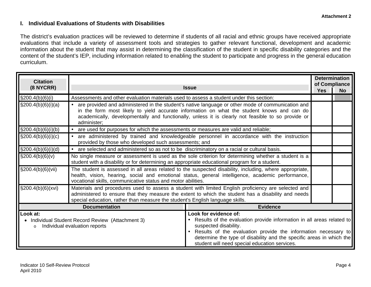#### **I. Individual Evaluations of Students with Disabilities**

The district's evaluation practices will be reviewed to determine if students of all racial and ethnic groups have received appropriate evaluations that include a variety of assessment tools and strategies to gather relevant functional, development and academic information about the student that may assist in determining the classification of the student in specific disability categories and the content of the student's IEP, including information related to enabling the student to participate and progress in the general education curriculum.

| <b>Citation</b><br>(8 NYCRR)                                                                                                                                                                                                                                                                                      | <b>Determination</b><br>of Compliance<br><b>Issue</b>                                                                                                                                                                                                                        |                                                                                                                                                                                                                                                                                                                    |  |  |  |  |  |
|-------------------------------------------------------------------------------------------------------------------------------------------------------------------------------------------------------------------------------------------------------------------------------------------------------------------|------------------------------------------------------------------------------------------------------------------------------------------------------------------------------------------------------------------------------------------------------------------------------|--------------------------------------------------------------------------------------------------------------------------------------------------------------------------------------------------------------------------------------------------------------------------------------------------------------------|--|--|--|--|--|
|                                                                                                                                                                                                                                                                                                                   |                                                                                                                                                                                                                                                                              |                                                                                                                                                                                                                                                                                                                    |  |  |  |  |  |
| $\S200.4(b)(6)(i)$                                                                                                                                                                                                                                                                                                | Assessments and other evaluation materials used to assess a student under this section:                                                                                                                                                                                      |                                                                                                                                                                                                                                                                                                                    |  |  |  |  |  |
| \$200.4(b)(6)(i)(a)                                                                                                                                                                                                                                                                                               | administer;                                                                                                                                                                                                                                                                  | are provided and administered in the student's native language or other mode of communication and<br>in the form most likely to yield accurate information on what the student knows and can do<br>academically, developmentally and functionally, unless it is clearly not feasible to so provide or              |  |  |  |  |  |
| $\S200.4(b)(6)(i)(b)$                                                                                                                                                                                                                                                                                             | are used for purposes for which the assessments or measures are valid and reliable;                                                                                                                                                                                          |                                                                                                                                                                                                                                                                                                                    |  |  |  |  |  |
| $\S200.4(b)(6)(i)(c)$                                                                                                                                                                                                                                                                                             | provided by those who developed such assessments; and                                                                                                                                                                                                                        | are administered by trained and knowledgeable personnel in accordance with the instruction                                                                                                                                                                                                                         |  |  |  |  |  |
| $\S200.4(b)(6)(i)(d)$                                                                                                                                                                                                                                                                                             | are selected and administered so as not to be discriminatory on a racial or cultural basis.                                                                                                                                                                                  |                                                                                                                                                                                                                                                                                                                    |  |  |  |  |  |
| $\S200.4(b)(6)(v)$                                                                                                                                                                                                                                                                                                | No single measure or assessment is used as the sole criterion for determining whether a student is a<br>student with a disability or for determining an appropriate educational program for a student.                                                                       |                                                                                                                                                                                                                                                                                                                    |  |  |  |  |  |
| $\S 200.4(b)(6)(vii)$                                                                                                                                                                                                                                                                                             | The student is assessed in all areas related to the suspected disability, including, where appropriate,<br>health, vision, hearing, social and emotional status, general intelligence, academic performance,<br>vocational skills, communicative status and motor abilities. |                                                                                                                                                                                                                                                                                                                    |  |  |  |  |  |
| \$200.4(b)(6)(xvi)<br>Materials and procedures used to assess a student with limited English proficiency are selected and<br>administered to ensure that they measure the extent to which the student has a disability and needs<br>special education, rather than measure the student's English language skills. |                                                                                                                                                                                                                                                                              |                                                                                                                                                                                                                                                                                                                    |  |  |  |  |  |
|                                                                                                                                                                                                                                                                                                                   | <b>Documentation</b>                                                                                                                                                                                                                                                         | <b>Evidence</b>                                                                                                                                                                                                                                                                                                    |  |  |  |  |  |
| Look at:<br>$\circ$                                                                                                                                                                                                                                                                                               | • Individual Student Record Review (Attachment 3)<br>Individual evaluation reports                                                                                                                                                                                           | Look for evidence of:<br>Results of the evaluation provide information in all areas related to<br>suspected disability.<br>Results of the evaluation provide the information necessary to<br>determine the type of disability and the specific areas in which the<br>student will need special education services. |  |  |  |  |  |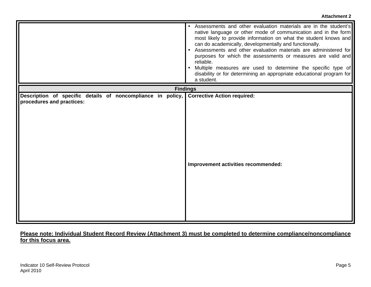|                                                                                          | • Assessments and other evaluation materials are in the student's<br>native language or other mode of communication and in the form<br>most likely to provide information on what the student knows and<br>can do academically, developmentally and functionally.<br>• Assessments and other evaluation materials are administered for<br>purposes for which the assessments or measures are valid and<br>reliable.<br>• Multiple measures are used to determine the specific type of<br>disability or for determining an appropriate educational program for<br>a student. |
|------------------------------------------------------------------------------------------|-----------------------------------------------------------------------------------------------------------------------------------------------------------------------------------------------------------------------------------------------------------------------------------------------------------------------------------------------------------------------------------------------------------------------------------------------------------------------------------------------------------------------------------------------------------------------------|
|                                                                                          | <b>Findings</b>                                                                                                                                                                                                                                                                                                                                                                                                                                                                                                                                                             |
| Description of specific details of noncompliance in policy,<br>procedures and practices: | <b>Corrective Action required:</b><br>Improvement activities recommended:                                                                                                                                                                                                                                                                                                                                                                                                                                                                                                   |

### **Please note: Individual Student Record Review (Attachment 3) must be completed to determine compliance/noncompliance for this focus area.**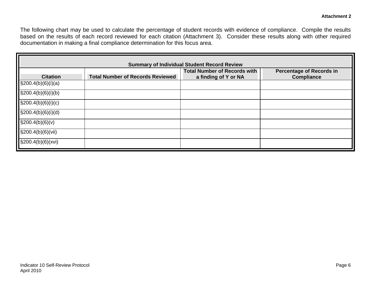The following chart may be used to calculate the percentage of student records with evidence of compliance. Compile the results based on the results of each record reviewed for each citation (Attachment 3). Consider these results along with other required documentation in making a final compliance determination for this focus area.

| <b>Summary of Individual Student Record Review</b> |                                         |                                                             |                                                      |  |  |  |  |  |
|----------------------------------------------------|-----------------------------------------|-------------------------------------------------------------|------------------------------------------------------|--|--|--|--|--|
| <b>Citation</b>                                    | <b>Total Number of Records Reviewed</b> | <b>Total Number of Records with</b><br>a finding of Y or NA | <b>Percentage of Records in</b><br><b>Compliance</b> |  |  |  |  |  |
| $\S200.4(b)(6)(i)(a)$                              |                                         |                                                             |                                                      |  |  |  |  |  |
| $\S200.4(b)(6)(i)(b)$                              |                                         |                                                             |                                                      |  |  |  |  |  |
| $\S200.4(b)(6)(i)(c)$                              |                                         |                                                             |                                                      |  |  |  |  |  |
| $\S200.4(b)(6)(i)(d)$                              |                                         |                                                             |                                                      |  |  |  |  |  |
| $\S200.4(b)(6)(v)$                                 |                                         |                                                             |                                                      |  |  |  |  |  |
| $\S200.4(b)(6)(vii)$                               |                                         |                                                             |                                                      |  |  |  |  |  |
| $\S200.4(b)(6)(xvi)$                               |                                         |                                                             |                                                      |  |  |  |  |  |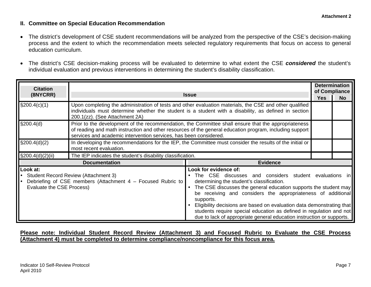#### **II. Committee on Special Education Recommendation**

- $\bullet$  The district's development of CSE student recommendations will be analyzed from the perspective of the CSE's decision-making process and the extent to which the recommendation meets selected regulatory requirements that focus on access to general education curriculum.
- $\bullet$  The district's CSE decision-making process will be evaluated to determine to what extent the CSE *considered* the student's individual evaluation and previous interventions in determining the student's disability classification.

| <b>Citation</b><br>(8NYCRR)           | <b>Issue</b>                                                                                                                                                                                                                                                                        | <b>Yes</b>                                                                                                                                                                                                                                                                                                                                                                                                                                                                                             | <b>Determination</b><br>of Compliance<br><b>No</b> |  |
|---------------------------------------|-------------------------------------------------------------------------------------------------------------------------------------------------------------------------------------------------------------------------------------------------------------------------------------|--------------------------------------------------------------------------------------------------------------------------------------------------------------------------------------------------------------------------------------------------------------------------------------------------------------------------------------------------------------------------------------------------------------------------------------------------------------------------------------------------------|----------------------------------------------------|--|
| $\S200.4(c)(1)$                       | Upon completing the administration of tests and other evaluation materials, the CSE and other qualified<br>individuals must determine whether the student is a student with a disability, as defined in section<br>200.1(zz). (See Attachment 2A)                                   |                                                                                                                                                                                                                                                                                                                                                                                                                                                                                                        |                                                    |  |
| \$200.4(d)                            | Prior to the development of the recommendation, the Committee shall ensure that the appropriateness<br>of reading and math instruction and other resources of the general education program, including support<br>services and academic intervention services, has been considered. |                                                                                                                                                                                                                                                                                                                                                                                                                                                                                                        |                                                    |  |
| $\S200.4(d)(2)$                       | In developing the recommendations for the IEP, the Committee must consider the results of the initial or<br>most recent evaluation.                                                                                                                                                 |                                                                                                                                                                                                                                                                                                                                                                                                                                                                                                        |                                                    |  |
| $\S200.4(d)(2)(ii)$                   | The IEP indicates the student's disability classification.                                                                                                                                                                                                                          |                                                                                                                                                                                                                                                                                                                                                                                                                                                                                                        |                                                    |  |
|                                       | <b>Documentation</b>                                                                                                                                                                                                                                                                | <b>Evidence</b>                                                                                                                                                                                                                                                                                                                                                                                                                                                                                        |                                                    |  |
| Look at:<br>Evaluate the CSE Process) | Student Record Review (Attachment 3)<br>Debriefing of CSE members (Attachment 4 - Focused Rubric to                                                                                                                                                                                 | Look for evidence of:<br>The CSE discusses and considers student evaluations in<br>determining the student's classification.<br>The CSE discusses the general education supports the student may<br>be receiving and considers the appropriateness of additional<br>supports.<br>Eligibility decisions are based on evaluation data demonstrating that<br>students require special education as defined in regulation and not<br>due to lack of appropriate general education instruction or supports. |                                                    |  |

#### **Please note: Individual Student Record Review (Attachment 3) and Focused Rubric to Evaluate the CSE Process (Attachment 4) must be completed to determine compliance/noncompliance for this focus area.**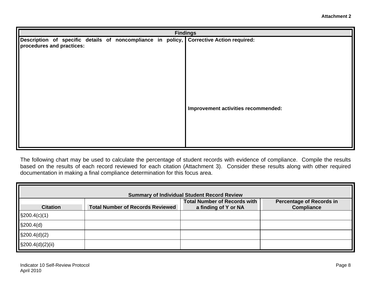|                           | <b>Findings</b> |  |  |  |  |  |  |                                                                                         |
|---------------------------|-----------------|--|--|--|--|--|--|-----------------------------------------------------------------------------------------|
| procedures and practices: |                 |  |  |  |  |  |  | Description of specific details of noncompliance in policy, Corrective Action required: |
|                           |                 |  |  |  |  |  |  | Improvement activities recommended:                                                     |

The following chart may be used to calculate the percentage of student records with evidence of compliance. Compile the results based on the results of each record reviewed for each citation (Attachment 3). Consider these results along with other required documentation in making a final compliance determination for this focus area.

| <b>Summary of Individual Student Record Review</b> |                                         |                                                             |                                                      |  |  |  |  |
|----------------------------------------------------|-----------------------------------------|-------------------------------------------------------------|------------------------------------------------------|--|--|--|--|
| <b>Citation</b>                                    | <b>Total Number of Records Reviewed</b> | <b>Total Number of Records with</b><br>a finding of Y or NA | <b>Percentage of Records in</b><br><b>Compliance</b> |  |  |  |  |
| $\S200.4(c)(1)$                                    |                                         |                                                             |                                                      |  |  |  |  |
| \$200.4(d)                                         |                                         |                                                             |                                                      |  |  |  |  |
| $\S200.4(d)(2)$                                    |                                         |                                                             |                                                      |  |  |  |  |
| $\S200.4(d)(2)(ii)$                                |                                         |                                                             |                                                      |  |  |  |  |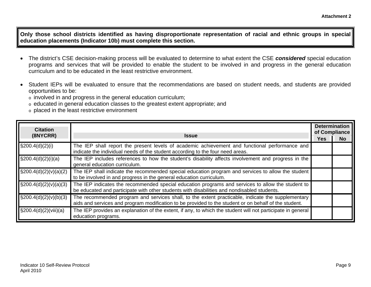**Attachment 2** 

**Only those school districts identified as having disproportionate representation of racial and ethnic groups in special education placements (Indicator 10b) must complete this section.** 

- • The district's CSE decision-making process will be evaluated to determine to what extent the CSE *considered* special education programs and services that will be provided to enable the student to be involved in and progress in the general education curriculum and to be educated in the least restrictive environment.
- • Student IEPs will be evaluated to ensure that the recommendations are based on student needs, and students are provided opportunities to be:
	- $\circ$  involved in and progress in the general education curriculum;
	- $\circ$  educated in general education classes to the greatest extent appropriate; and
	- $\circ$  placed in the least restrictive environment

| <b>Citation</b><br>(8NYCRR)          | <b>Issue</b>                                                                                                                                                                                               |  |           |  |
|--------------------------------------|------------------------------------------------------------------------------------------------------------------------------------------------------------------------------------------------------------|--|-----------|--|
|                                      |                                                                                                                                                                                                            |  | <b>No</b> |  |
| $\sqrt{\frac{200.4(d)}{2(l)}}$       | The IEP shall report the present levels of academic achievement and functional performance and<br>indicate the individual needs of the student according to the four need areas.                           |  |           |  |
| $\sqrt{\frac{200.4(d)}{2(i)}}$       | The IEP includes references to how the student's disability affects involvement and progress in the<br>general education curriculum.                                                                       |  |           |  |
| $\log_{200.4(d)(2)(v)(a)(2)}$        | The IEP shall indicate the recommended special education program and services to allow the student<br>to be involved in and progress in the general education curriculum.                                  |  |           |  |
| $\sqrt{\frac{200.4(d)(2)(v)(a)(3)}}$ | The IEP indicates the recommended special education programs and services to allow the student to<br>be educated and participate with other students with disabilities and nondisabled students.           |  |           |  |
| $\sqrt{\frac{200.4(d)(2)(v)(b)(3)}}$ | The recommended program and services shall, to the extent practicable, indicate the supplementary<br>aids and services and program modification to be provided to the student or on behalf of the student. |  |           |  |
| $\log_{200.4(d)(2)(\text{viii})(a)}$ | The IEP provides an explanation of the extent, if any, to which the student will not participate in general<br>education programs.                                                                         |  |           |  |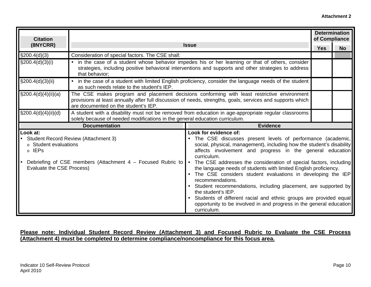| <b>Citation</b>                                                                |                                                                                                                                                                                                                                                   |                                                                                                                                                                                                                                                                                                                                                                                                                                                                                                                                                                                                                                                                                                                                 | <b>Determination</b><br>of Compliance |           |  |  |
|--------------------------------------------------------------------------------|---------------------------------------------------------------------------------------------------------------------------------------------------------------------------------------------------------------------------------------------------|---------------------------------------------------------------------------------------------------------------------------------------------------------------------------------------------------------------------------------------------------------------------------------------------------------------------------------------------------------------------------------------------------------------------------------------------------------------------------------------------------------------------------------------------------------------------------------------------------------------------------------------------------------------------------------------------------------------------------------|---------------------------------------|-----------|--|--|
| (8NYCRR)                                                                       |                                                                                                                                                                                                                                                   | <b>Issue</b>                                                                                                                                                                                                                                                                                                                                                                                                                                                                                                                                                                                                                                                                                                                    | <b>Yes</b>                            | <b>No</b> |  |  |
| $\S200.4(d)(3)$                                                                | Consideration of special factors. The CSE shall:                                                                                                                                                                                                  |                                                                                                                                                                                                                                                                                                                                                                                                                                                                                                                                                                                                                                                                                                                                 |                                       |           |  |  |
| $\S200.4(d)(3)(i)$                                                             | that behavior:                                                                                                                                                                                                                                    | in the case of a student whose behavior impedes his or her learning or that of others, consider<br>strategies, including positive behavioral interventions and supports and other strategies to address                                                                                                                                                                                                                                                                                                                                                                                                                                                                                                                         |                                       |           |  |  |
| $\S200.4(d)(3)(ii)$                                                            | as such needs relate to the student's IEP.                                                                                                                                                                                                        | • in the case of a student with limited English proficiency, consider the language needs of the student                                                                                                                                                                                                                                                                                                                                                                                                                                                                                                                                                                                                                         |                                       |           |  |  |
| \$200.4(d)(4)(ii)(a)                                                           | The CSE makes program and placement decisions conforming with least restrictive environment<br>provisions at least annually after full discussion of needs, strengths, goals, services and supports which<br>are documented on the student's IEP. |                                                                                                                                                                                                                                                                                                                                                                                                                                                                                                                                                                                                                                                                                                                                 |                                       |           |  |  |
| \$200.4(d)(4)(ii)(d)                                                           | A student with a disability must not be removed from education in age-appropriate regular classrooms<br>solely because of needed modifications in the general education curriculum.                                                               |                                                                                                                                                                                                                                                                                                                                                                                                                                                                                                                                                                                                                                                                                                                                 |                                       |           |  |  |
|                                                                                | <b>Documentation</b>                                                                                                                                                                                                                              | <b>Evidence</b>                                                                                                                                                                                                                                                                                                                                                                                                                                                                                                                                                                                                                                                                                                                 |                                       |           |  |  |
| Look at:<br>$\circ$ Student evaluations<br>o IEPs<br>Evaluate the CSE Process) | <b>Student Record Review (Attachment 3)</b><br>Debriefing of CSE members (Attachment 4 - Focused Rubric to                                                                                                                                        | Look for evidence of:<br>The CSE discusses present levels of performance (academic,<br>social, physical, management), including how the student's disability<br>affects involvement and progress in the general education<br>curriculum.<br>• The CSE addresses the consideration of special factors, including<br>the language needs of students with limited English proficiency.<br>• The CSE considers student evaluations in developing the IEP<br>recommendations.<br>• Student recommendations, including placement, are supported by<br>the student's IEP.<br>• Students of different racial and ethnic groups are provided equal<br>opportunity to be involved in and progress in the general education<br>curriculum. |                                       |           |  |  |

#### **Please note: Individual Student Record Review (Attachment 3) and Focused Rubric to Evaluate the CSE Process (Attachment 4) must be completed to determine compliance/noncompliance for this focus area.**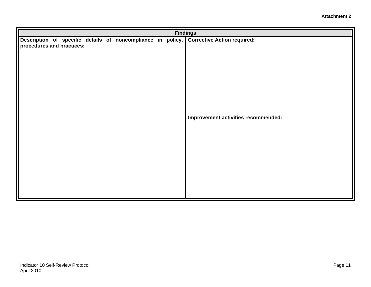|                           |  |  |  | <b>Findings</b>                                                                         |
|---------------------------|--|--|--|-----------------------------------------------------------------------------------------|
|                           |  |  |  | Description of specific details of noncompliance in policy, Corrective Action required: |
| procedures and practices: |  |  |  |                                                                                         |
|                           |  |  |  |                                                                                         |
|                           |  |  |  |                                                                                         |
|                           |  |  |  |                                                                                         |
|                           |  |  |  |                                                                                         |
|                           |  |  |  |                                                                                         |
|                           |  |  |  |                                                                                         |
|                           |  |  |  |                                                                                         |
|                           |  |  |  |                                                                                         |
|                           |  |  |  | Improvement activities recommended:                                                     |
|                           |  |  |  |                                                                                         |
|                           |  |  |  |                                                                                         |
|                           |  |  |  |                                                                                         |
|                           |  |  |  |                                                                                         |
|                           |  |  |  |                                                                                         |
|                           |  |  |  |                                                                                         |
|                           |  |  |  |                                                                                         |
|                           |  |  |  |                                                                                         |
|                           |  |  |  |                                                                                         |
|                           |  |  |  |                                                                                         |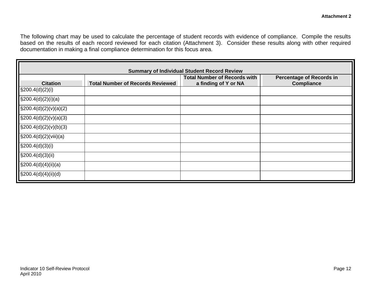The following chart may be used to calculate the percentage of student records with evidence of compliance. Compile the results based on the results of each record reviewed for each citation (Attachment 3). Consider these results along with other required documentation in making a final compliance determination for this focus area.

| <b>Summary of Individual Student Record Review</b> |                                         |                                                             |                                                      |  |  |  |
|----------------------------------------------------|-----------------------------------------|-------------------------------------------------------------|------------------------------------------------------|--|--|--|
| <b>Citation</b>                                    | <b>Total Number of Records Reviewed</b> | <b>Total Number of Records with</b><br>a finding of Y or NA | <b>Percentage of Records in</b><br><b>Compliance</b> |  |  |  |
| $\frac{1}{2}$ (3200.4(d)(2)(i)                     |                                         |                                                             |                                                      |  |  |  |
| $\S200.4(d)(2)(i)(a)$                              |                                         |                                                             |                                                      |  |  |  |
| $\S200.4(d)(2)(v)(a)(2)$                           |                                         |                                                             |                                                      |  |  |  |
| $\S200.4(d)(2)(v)(a)(3)$                           |                                         |                                                             |                                                      |  |  |  |
| $\S200.4(d)(2)(v)(b)(3)$                           |                                         |                                                             |                                                      |  |  |  |
| $\S200.4(d)(2)(viii)(a)$                           |                                         |                                                             |                                                      |  |  |  |
| $\S200.4(d)(3)(i)$                                 |                                         |                                                             |                                                      |  |  |  |
| $\S200.4(d)(3)(ii)$                                |                                         |                                                             |                                                      |  |  |  |
| $\S200.4(d)(4)(ii)(a)$                             |                                         |                                                             |                                                      |  |  |  |
| $\S200.4(d)(4)(ii)(d)$                             |                                         |                                                             |                                                      |  |  |  |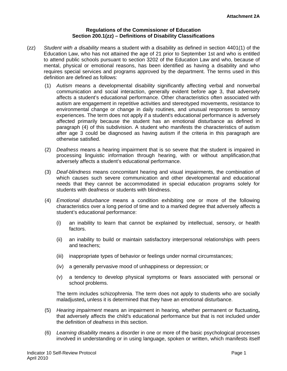#### **Regulations of the Commissioner of Education Section 200.1(zz) – Definitions of Disability Classifications**

- (zz) *Student with a disability* means a student with a disability as defined in section 4401(1) of the Education Law, who has not attained the age of 21 prior to September 1st and who is entitled to attend public schools pursuant to section 3202 of the Education Law and who, because of mental, physical or emotional reasons, has been identified as having a disability and who requires special services and programs approved by the department. The terms used in this definition are defined as follows:
	- (1) *Autism* means a developmental disability significantly affecting verbal and nonverbal communication and social interaction, generally evident before age 3, that adversely affects a student's educational performance. Other characteristics often associated with autism are engagement in repetitive activities and stereotyped movements, resistance to environmental change or change in daily routines, and unusual responses to sensory experiences. The term does not apply if a student's educational performance is adversely affected primarily because the student has an emotional disturbance as defined in paragraph (4) of this subdivision. A student who manifests the characteristics of autism after age 3 could be diagnosed as having autism if the criteria in this paragraph are otherwise satisfied.
	- (2) *Deafness* means a hearing impairment that is so severe that the student is impaired in processing linguistic information through hearing, with or without amplification,that adversely affects a student's educational performance.
	- (3) *Deaf-blindness* means concomitant hearing and visual impairments, the combination of which causes such severe communication and other developmental and educational needs that they cannot be accommodated in special education programs solely for students with deafness or students with blindness.
	- (4) *Emotional disturbance* means a condition exhibiting one or more of the following characteristics over a long period of time and to a marked degree that adversely affects a student's educational performance:
		- (i) an inability to learn that cannot be explained by intellectual, sensory, or health factors.
		- (ii) an inability to build or maintain satisfactory interpersonal relationships with peers and teachers;
		- (iii) inappropriate types of behavior or feelings under normal circumstances;
		- (iv) a generally pervasive mood of unhappiness or depression; or
		- $(v)$  a tendency to develop physical symptoms or fears associated with personal or school problems.

The term includes schizophrenia. The term does not apply to students who are socially maladjusted**,** unless it is determined that they have an emotional disturbance.

- (5) *Hearing impairment* means an impairment in hearing, whether permanent or fluctuating**,**  that adversely affects the child's educational performance but that is not included under the definition of *deafness* in this section.
- (6) *Learning disability* means a disorder in one or more of the basic psychological processes involved in understanding or in using language, spoken or written, which manifests itself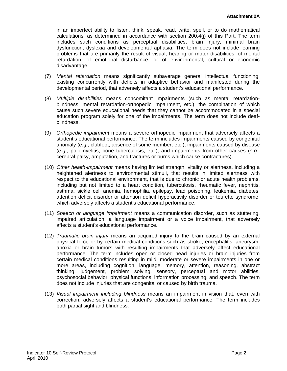in an imperfect ability to listen, think, speak, read, write, spell, or to do mathematical calculations, as determined in accordance with section 200.4(j) of this Part. The term includes such conditions as perceptual disabilities, brain injury, minimal brain dysfunction, dyslexia and developmental aphasia. The term does not include learning problems that are primarily the result of visual, hearing or motor disabilities, of mental retardation, of emotional disturbance, or of environmental, cultural or economic disadvantage.

- (7) *Mental retardation* means significantly subaverage general intellectual functioning, existing concurrently with deficits in adaptive behavior and manifested during the developmental period, that adversely affects a student's educational performance**.**
- blindness. (8) *Multiple disabilities* means concomitant impairments (such as mental retardationblindness, mental retardation-orthopedic impairment, etc.), the combination of which cause such severe educational needs that they cannot be accommodated in a special education program solely for one of the impairments. The term does not include deaf-
- (9) *Orthopedic impairment* means a severe orthopedic impairment that adversely affects a student's educational performance. The term includes impairments caused by congenital anomaly (*e.g.*, clubfoot, absence of some member, etc.), impairments caused by disease (*e.g.*, poliomyelitis, bone tuberculosis, etc.), and impairments from other causes (*e.g.*, cerebral palsy, amputation, and fractures or burns which cause contractures).
- (10) *Other health-impairment* means having limited strength, vitality or alertness**,** including a heightened alertness to environmental stimuli, that results in limited alertness with respect to the educational environment, that is due to chronic or acute health problems, including but not limited to a heart condition, tuberculosis, rheumatic fever, nephritis, asthma, sickle cell anemia, hemophilia, epilepsy, lead poisoning, leukemia, diabetes, attention deficit disorder or attention deficit hyperactivity disorder or tourette syndrome, which adversely affects a student's educational performance.
- (11) *Speech or language impairment* means a communication disorder, such as stuttering, impaired articulation, a language impairment or a voice impairment, that adversely affects a student's educational performance.
- (12) *Traumatic brain injury* means an acquired injury to the brain caused by an external physical force or by certain medical conditions such as stroke, encephalitis, aneurysm, anoxia or brain tumors with resulting impairments that adversely affect educational performance. The term includes open or closed head injuries or brain injuries from certain medical conditions resulting in mild, moderate or severe impairments in one or more areas, including cognition, language, memory, attention, reasoning, abstract thinking, judgement, problem solving, sensory, perceptual and motor abilities, psychosocial behavior, physical functions, information processing, and speech. The term does not include injuries that are congenital or caused by birth trauma.
- (13) *Visual impairment including blindness* means an impairment in vision that, even with correction, adversely affects a student's educational performance. The term includes both partial sight and blindness.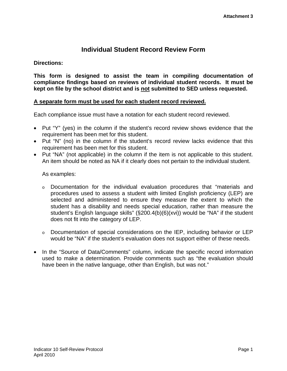### **Individual Student Record Review Form**

#### **Directions:**

**This form is designed to assist the team in compiling documentation of compliance findings based on reviews of individual student records. It must be kept on file by the school district and is not submitted to SED unless requested.** 

#### **A separate form must be used for each student record reviewed.**

Each compliance issue must have a notation for each student record reviewed.

- Put "Y" (yes) in the column if the student's record review shows evidence that the requirement has been met for this student.
- Put "N" (no) in the column if the student's record review lacks evidence that this requirement has been met for this student.
- Put "NA" (not applicable) in the column if the item is not applicable to this student. An item should be noted as NA if it clearly does not pertain to the individual student.

As examples:

- $\circ$  Documentation for the individual evaluation procedures that "materials and procedures used to assess a student with limited English proficiency (LEP) are selected and administered to ensure they measure the extent to which the student has a disability and needs special education, rather than measure the student's English language skills" (§200.4(b)(6)(xvi)) would be "NA" if the student does not fit into the category of LEP.
- o Documentation of special considerations on the IEP, including behavior or LEP would be "NA" if the student's evaluation does not support either of these needs.
- In the "Source of Data/Comments" column, indicate the specific record information used to make a determination. Provide comments such as "the evaluation should have been in the native language, other than English, but was not."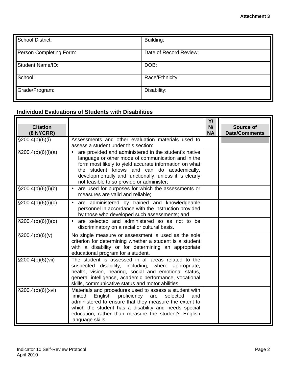| <b>School District:</b> | Building:              |
|-------------------------|------------------------|
| Person Completing Form: | Date of Record Review: |
| <b>Student Name/ID:</b> | DOB:                   |
| School:                 | Race/Ethnicity:        |
| Grade/Program:          | Disability:            |

## **Individual Evaluations of Students with Disabilities**

| <b>Citation</b><br>(8 NYCRR) |                                                                                                                                                                                                                                                                                                                            | Y/<br>N/<br><b>NA</b> | Source of<br><b>Data/Comments</b> |
|------------------------------|----------------------------------------------------------------------------------------------------------------------------------------------------------------------------------------------------------------------------------------------------------------------------------------------------------------------------|-----------------------|-----------------------------------|
| $\S200.4(b)(6)(i)$           | Assessments and other evaluation materials used to<br>assess a student under this section:                                                                                                                                                                                                                                 |                       |                                   |
| $\S200.4(b)(6)(i)(a)$        | are provided and administered in the student's native<br>language or other mode of communication and in the<br>form most likely to yield accurate information on what<br>the student knows and can do academically,<br>developmentally and functionally, unless it is clearly<br>not feasible to so provide or administer; |                       |                                   |
| $\S200.4(b)(6)(i)(b)$        | are used for purposes for which the assessments or<br>$\bullet$<br>measures are valid and reliable;                                                                                                                                                                                                                        |                       |                                   |
| $\S200.4(b)(6)(i)(c)$        | are administered by trained and knowledgeable<br>personnel in accordance with the instruction provided<br>by those who developed such assessments; and                                                                                                                                                                     |                       |                                   |
| \$200.4(b)(6)(i)(d)          | • are selected and administered so as not to be<br>discriminatory on a racial or cultural basis.                                                                                                                                                                                                                           |                       |                                   |
| $\S 200.4(b)(6)(v)$          | No single measure or assessment is used as the sole<br>criterion for determining whether a student is a student<br>with a disability or for determining an appropriate<br>educational program for a student.                                                                                                               |                       |                                   |
| $\S200.4(b)(6)(vii)$         | The student is assessed in all areas related to the<br>suspected disability, including, where appropriate,<br>health, vision, hearing, social and emotional status,<br>general intelligence, academic performance, vocational<br>skills, communicative status and motor abilities.                                         |                       |                                   |
| $\S 200.4(b)(6)(xvi)$        | Materials and procedures used to assess a student with<br>limited<br>English<br>proficiency are<br>selected<br>and<br>administered to ensure that they measure the extent to<br>which the student has a disability and needs special<br>education, rather than measure the student's English<br>language skills.           |                       |                                   |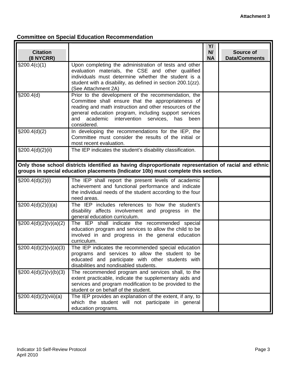## **Committee on Special Education Recommendation**

|                              |                                                                                                                                                                                                                                                                                                       | Y/              |                                   |
|------------------------------|-------------------------------------------------------------------------------------------------------------------------------------------------------------------------------------------------------------------------------------------------------------------------------------------------------|-----------------|-----------------------------------|
| <b>Citation</b><br>(8 NYCRR) |                                                                                                                                                                                                                                                                                                       | N/<br><b>NA</b> | Source of<br><b>Data/Comments</b> |
| \$200.4(c)(1)                | Upon completing the administration of tests and other<br>evaluation materials, the CSE and other qualified<br>individuals must determine whether the student is a<br>student with a disability, as defined in section 200.1(zz).<br>(See Attachment 2A)                                               |                 |                                   |
| \$200.4(d)                   | Prior to the development of the recommendation, the<br>Committee shall ensure that the appropriateness of<br>reading and math instruction and other resources of the<br>general education program, including support services<br>academic intervention services,<br>and<br>has<br>been<br>considered. |                 |                                   |
| \$200.4(d)(2)                | In developing the recommendations for the IEP, the<br>Committee must consider the results of the initial or<br>most recent evaluation.                                                                                                                                                                |                 |                                   |
| \$200.4(d)(2)(ii)            | The IEP indicates the student's disability classification.                                                                                                                                                                                                                                            |                 |                                   |
|                              | Only those school districts identified as having disproportionate representation of racial and ethnic<br>groups in special education placements (Indicator 10b) must complete this section.                                                                                                           |                 |                                   |
| $\S200.4(d)(2)(i)$           | The IEP shall report the present levels of academic<br>achievement and functional performance and indicate<br>the individual needs of the student according to the four<br>need areas.                                                                                                                |                 |                                   |
| \$200.4(d)(2)(i)(a)          | The IEP includes references to how the student's<br>disability affects involvement and progress in the<br>general education curriculum.                                                                                                                                                               |                 |                                   |
| $\S200.4(d)(2)(v)(a)(2)$     | The IEP shall indicate the recommended special<br>education program and services to allow the child to be<br>involved in and progress in the general education<br>curriculum.                                                                                                                         |                 |                                   |
| $\S200.4(d)(2)(v)(a)(3)$     | The IEP indicates the recommended special education<br>programs and services to allow the student to be<br>educated and participate with other students with<br>disabilities and nondisabled students.                                                                                                |                 |                                   |
| $\S200.4(d)(2)(v)(b)(3)$     | The recommended program and services shall, to the<br>extent practicable, indicate the supplementary aids and<br>services and program modification to be provided to the<br>student or on behalf of the student.                                                                                      |                 |                                   |
| $\S200.4(d)(2)(viii)(a)$     | The IEP provides an explanation of the extent, if any, to<br>which the student will not participate in general<br>education programs.                                                                                                                                                                 |                 |                                   |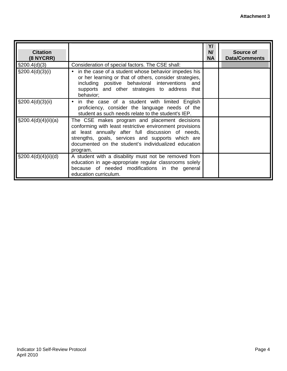| <b>Citation</b><br>$(8$ NYCRR) |                                                                                                                                                                                                                                                                                         | Y/<br>N/<br><b>NA</b> | Source of<br><b>Data/Comments</b> |
|--------------------------------|-----------------------------------------------------------------------------------------------------------------------------------------------------------------------------------------------------------------------------------------------------------------------------------------|-----------------------|-----------------------------------|
| $\S200.4(d)(3)$                | Consideration of special factors. The CSE shall:                                                                                                                                                                                                                                        |                       |                                   |
| $\S200.4(d)(3)(i)$             | in the case of a student whose behavior impedes his<br>or her learning or that of others, consider strategies,<br>including positive behavioral interventions<br>and<br>supports and other strategies to address that<br>behavior;                                                      |                       |                                   |
| $\S200.4(d)(3)(ii)$            | in the case of a student with limited English<br>proficiency, consider the language needs of the<br>student as such needs relate to the student's IEP.                                                                                                                                  |                       |                                   |
| $\S200.4(d)(4)(ii)(a)$         | The CSE makes program and placement decisions<br>conforming with least restrictive environment provisions<br>at least annually after full discussion of needs,<br>strengths, goals, services and supports which are<br>documented on the student's individualized education<br>program. |                       |                                   |
| $\S200.4(d)(4)(ii)(d)$         | A student with a disability must not be removed from<br>education in age-appropriate regular classrooms solely<br>because of needed modifications in the general<br>education curriculum.                                                                                               |                       |                                   |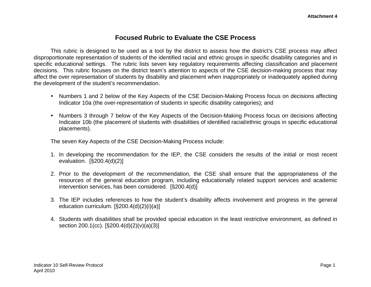## **Focused Rubric to Evaluate the CSE Process**

This rubric is designed to be used as a tool by the district to assess how the district's CSE process may affect disproportionate representation of students of the identified racial and ethnic groups in specific disability categories and in specific educational settings. The rubric lists seven key regulatory requirements affecting classification and placement decisions. This rubric focuses on the district team's attention to aspects of the CSE decision-making process that may affect the over representation of students by disability and placement when inappropriately or inadequately applied during the development of the student's recommendation.

- Numbers 1 and 2 below of the Key Aspects of the CSE Decision-Making Process focus on decisions affecting Indicator 10a (the over-representation of students in specific disability categories); and
- Numbers 3 through 7 below of the Key Aspects of the Decision-Making Process focus on decisions affecting Indicator 10b (the placement of students with disabilities of identified racial/ethnic groups in specific educational placements).

The seven Key Aspects of the CSE Decision-Making Process include:

- 1. In developing the recommendation for the IEP, the CSE considers the results of the initial or most recent evaluation. [§200.4(d)(2)]
- 2. Prior to the development of the recommendation, the CSE shall ensure that the appropriateness of the resources of the general education program, including educationally related support services and academic intervention services, has been considered. [§200.4(d)]
- 3. The IEP includes references to how the student's disability affects involvement and progress in the general education curriculum. [§200.4(d)(2)(i)(a)]
- 4. Students with disabilities shall be provided special education in the least restrictive environment, as defined in section 200.1(cc). [§200.4(d)(2)(v)(a)(3)]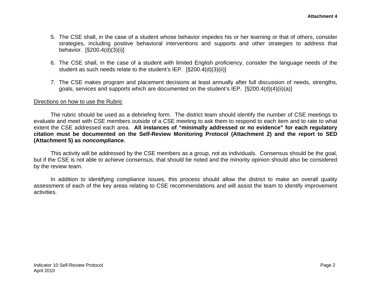- 5. The CSE shall, in the case of a student whose behavior impedes his or her learning or that of others, consider strategies, including positive behavioral interventions and supports and other strategies to address that behavior. [§200.4(d)(3)(i)]
- 6. The CSE shall, in the case of a student with limited English proficiency, consider the language needs of the student as such needs relate to the student's IEP. [§200.4(d)(3)(ii)]
- 7. The CSE makes program and placement decisions at least annually after full discussion of needs, strengths, goals, services and supports which are documented on the student's IEP. [§200.4(d)(4)(ii)(a)]

#### Directions on how to use the Rubric

The rubric should be used as a debriefing form. The district team should identify the number of CSE meetings to evaluate and meet with CSE members outside of a CSE meeting to ask them to respond to each item and to rate to what extent the CSE addressed each area. **All instances of "minimally addressed or no evidence" for each regulatory citation must be documented on the Self-Review Monitoring Protocol (Attachment 2) and the report to SED (Attachment 5) as** *noncompliance.* 

This activity will be addressed by the CSE members as a group, not as individuals. Consensus should be the goal, but if the CSE is not able to achieve consensus, that should be noted and the minority opinion should also be considered by the review team.

In addition to identifying compliance issues, this process should allow the district to make an overall quality assessment of each of the key areas relating to CSE recommendations and will assist the team to identify improvement activities.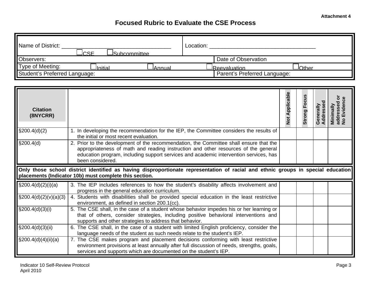## **Focused Rubric to Evaluate the CSE Process**

| Name of District:<br>ICSE<br>JSubcommittee_ | Location:                     |
|---------------------------------------------|-------------------------------|
| Observers:                                  | Date of Observation           |
| Type of Meeting:<br>JInitial<br>JAnnual     | <b>Other</b><br>JReevaluation |
| Student's Preferred Language:               | Parent's Preferred Language:  |

| <b>Citation</b><br>(8NYCRR)       |                                                                                                                                                                                                                                                                                           | <b>Not Applicable</b> | Focus<br>Strong | <b>Address</b><br>U | Eviden<br>Minimally<br>addresse<br>No Evider |
|-----------------------------------|-------------------------------------------------------------------------------------------------------------------------------------------------------------------------------------------------------------------------------------------------------------------------------------------|-----------------------|-----------------|---------------------|----------------------------------------------|
| \$200.4(d)(2)                     | 1. In developing the recommendation for the IEP, the Committee considers the results of<br>the initial or most recent evaluation.                                                                                                                                                         |                       |                 |                     |                                              |
| \$200.4(d)                        | 2. Prior to the development of the recommendation, the Committee shall ensure that the<br>appropriateness of math and reading instruction and other resources of the general<br>education program, including support services and academic intervention services, has<br>been considered. |                       |                 |                     |                                              |
|                                   | Only those school district identified as having disproportionate representation of racial and ethnic groups in special education<br>placements (Indicator 10b) must complete this section.                                                                                                |                       |                 |                     |                                              |
| $\frac{1}{2}$ \$200.4(d)(2)(i)(a) | 3. The IEP includes references to how the student's disability affects involvement and<br>progress in the general education curriculum.                                                                                                                                                   |                       |                 |                     |                                              |
| $\S200.4(d)(2)(v)(a)(3)$          | 4. Students with disabilities shall be provided special education in the least restrictive<br>environment, as defined in section 200.1(cc).                                                                                                                                               |                       |                 |                     |                                              |
| $\S200.4(d)(3)(i)$                | 5. The CSE shall, in the case of a student whose behavior impedes his or her learning or<br>that of others, consider strategies, including positive behavioral interventions and<br>supports and other strategies to address that behavior.                                               |                       |                 |                     |                                              |
| $\S200.4(d)(3)(ii)$               | 6. The CSE shall, in the case of a student with limited English proficiency, consider the<br>language needs of the student as such needs relate to the student's IEP.                                                                                                                     |                       |                 |                     |                                              |
| $\frac{1}{2}$ 9200.4(d)(4)(ii)(a) | 7. The CSE makes program and placement decisions conforming with least restrictive<br>environment provisions at least annually after full discussion of needs, strengths, goals,<br>services and supports which are documented on the student's IEP.                                      |                       |                 |                     |                                              |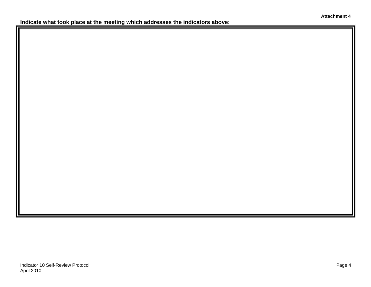**Indicate what took place at the meeting which addresses the indicators above:**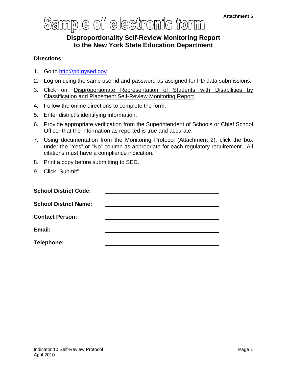## **Disproportionality Self-Review Monitoring Report to the New York State Education Department**

#### **Directions:**

- 1. Go to http://pd.nysed.gov
- 2. Log on using the same user id and password as assigned for PD data submissions.
- 3. Click on: Disproportionate Representation of Students with Disabilities by Classification and Placement Self-Review Monitoring Report.
- 4. Follow the online directions to complete the form.
- 5. Enter district's identifying information.
- 6. Provide appropriate verification from the Superintendent of Schools or Chief School Officer that the information as reported is true and accurate.
- 7. Using documentation from the Monitoring Protocol (Attachment 2), click the box under the "Yes" or "No" column as appropriate for each regulatory requirement. All citations must have a compliance indication.
- 8. Print a copy before submitting to SED.
- 9. Click "Submit"

| <b>School District Code:</b> |  |
|------------------------------|--|
| <b>School District Name:</b> |  |
| <b>Contact Person:</b>       |  |
| Email:                       |  |
| Telephone:                   |  |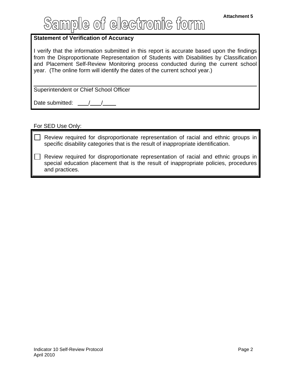#### **Statement of Verification of Accuracy**

I verify that the information submitted in this report is accurate based upon the findings from the Disproportionate Representation of Students with Disabilities by Classification and Placement Self-Review Monitoring process conducted during the current school year. (The online form will identify the dates of the current school year.)

Superintendent or Chief School Officer

Date submitted: \_

#### For SED Use Only:

Review required for disproportionate representation of racial and ethnic groups in specific disability categories that is the result of inappropriate identification.

Review required for disproportionate representation of racial and ethnic groups in special education placement that is the result of inappropriate policies, procedures and practices.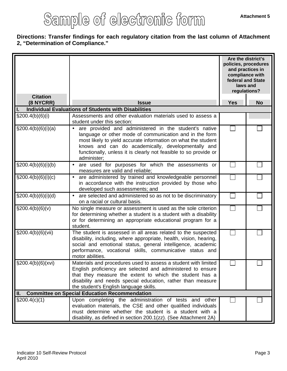#### **Directions: Transfer findings for each regulatory citation from the last column of Attachment 2, "Determination of Compliance."**

|                              |                                                                                                                                                                                                                                                                                                                                         | Are the district's<br>and practices in<br>compliance with<br>laws and<br>regulations? | policies, procedures<br>federal and State |
|------------------------------|-----------------------------------------------------------------------------------------------------------------------------------------------------------------------------------------------------------------------------------------------------------------------------------------------------------------------------------------|---------------------------------------------------------------------------------------|-------------------------------------------|
| <b>Citation</b><br>(8 NYCRR) | <b>Issue</b>                                                                                                                                                                                                                                                                                                                            | <b>Yes</b>                                                                            | <b>No</b>                                 |
|                              | <b>Individual Evaluations of Students with Disabilities</b>                                                                                                                                                                                                                                                                             |                                                                                       |                                           |
| $\S200.4(b)(6)(i)$           | Assessments and other evaluation materials used to assess a<br>student under this section:                                                                                                                                                                                                                                              |                                                                                       |                                           |
| \$200.4(b)(6)(i)(a)          | are provided and administered in the student's native<br>$\bullet$<br>language or other mode of communication and in the form<br>most likely to yield accurate information on what the student<br>knows and can do academically, developmentally and<br>functionally, unless it is clearly not feasible to so provide or<br>administer; |                                                                                       |                                           |
| \$200.4(b)(6)(i)(b)          | are used for purposes for which the assessments or<br>$\bullet$<br>measures are valid and reliable;                                                                                                                                                                                                                                     |                                                                                       |                                           |
| $\S200.4(b)(6)(i)(c)$        | are administered by trained and knowledgeable personnel<br>in accordance with the instruction provided by those who<br>developed such assessments; and                                                                                                                                                                                  |                                                                                       |                                           |
| \$200.4(b)(6)(i)(d)          | are selected and administered so as not to be discriminatory<br>on a racial or cultural basis.                                                                                                                                                                                                                                          |                                                                                       |                                           |
| \$200.4(b)(6)(v)             | No single measure or assessment is used as the sole criterion<br>for determining whether a student is a student with a disability<br>or for determining an appropriate educational program for a<br>student.                                                                                                                            |                                                                                       |                                           |
| \$200.4(b)(6)(vii)           | The student is assessed in all areas related to the suspected<br>disability, including, where appropriate, health, vision, hearing,<br>social and emotional status, general intelligence, academic<br>performance, vocational skills, communicative status and<br>motor abilities.                                                      |                                                                                       |                                           |
| \$200.4(b)(6)(xvi)           | Materials and procedures used to assess a student with limited<br>English proficiency are selected and administered to ensure<br>that they measure the extent to which the student has a<br>disability and needs special education, rather than measure<br>the student's English language skills.                                       |                                                                                       |                                           |
| Ш.                           | <b>Committee on Special Education Recommendation</b>                                                                                                                                                                                                                                                                                    |                                                                                       |                                           |
| \$200.4(c)(1)                | Upon completing the administration of tests and other<br>evaluation materials, the CSE and other qualified individuals<br>must determine whether the student is a student with a<br>disability, as defined in section 200.1(zz). (See Attachment 2A)                                                                                    |                                                                                       |                                           |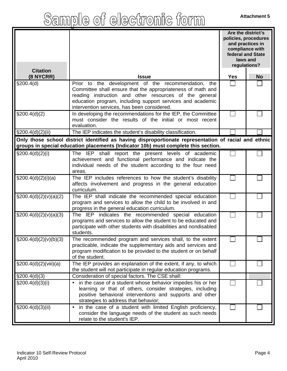| <b>Citation</b>                                                                                                                                                                            |                                                                                                                                                                                                                                                                                           | Are the district's<br>policies, procedures<br>and practices in<br>compliance with<br>federal and State<br>laws and<br>regulations? |           |  |
|--------------------------------------------------------------------------------------------------------------------------------------------------------------------------------------------|-------------------------------------------------------------------------------------------------------------------------------------------------------------------------------------------------------------------------------------------------------------------------------------------|------------------------------------------------------------------------------------------------------------------------------------|-----------|--|
| (8 NYCRR)                                                                                                                                                                                  | <b>Issue</b>                                                                                                                                                                                                                                                                              | <b>Yes</b>                                                                                                                         | <b>No</b> |  |
| \$200.4(d)                                                                                                                                                                                 | Prior to the development of the recommendation, the<br>Committee shall ensure that the appropriateness of math and<br>reading instruction and other resources of the general<br>education program, including support services and academic<br>intervention services, has been considered. |                                                                                                                                    |           |  |
| \$200.4(d)(2)                                                                                                                                                                              | In developing the recommendations for the IEP, the Committee<br>must consider the results of the initial or most recent<br>evaluation.                                                                                                                                                    |                                                                                                                                    |           |  |
| $\S200.4(d)(2)(ii)$                                                                                                                                                                        | The IEP indicates the student's disability classification.                                                                                                                                                                                                                                |                                                                                                                                    |           |  |
| Only those school district identified as having disproportionate representation of racial and ethnic<br>groups in special education placements (Indicator 10b) must complete this section. |                                                                                                                                                                                                                                                                                           |                                                                                                                                    |           |  |
| $\S200.4(d)(2)(i)$                                                                                                                                                                         | The IEP shall report the present levels of academic<br>achievement and functional performance and indicate the<br>individual needs of the student according to the four need<br>areas.                                                                                                    |                                                                                                                                    |           |  |
| \$200.4(d)(2)(i)(a)                                                                                                                                                                        | The IEP includes references to how the student's disability<br>affects involvement and progress in the general education<br>curriculum.                                                                                                                                                   |                                                                                                                                    |           |  |
| $\S200.4(d)(2)(v)(a)(2)$                                                                                                                                                                   | The IEP shall indicate the recommended special education<br>program and services to allow the child to be involved in and<br>progress in the general education curriculum.                                                                                                                |                                                                                                                                    |           |  |
| $\S200.4(d)(2)(v)(a)(3)$                                                                                                                                                                   | The IEP indicates the recommended special education<br>programs and services to allow the student to be educated and<br>participate with other students with disabilities and nondisabled<br>students.                                                                                    |                                                                                                                                    |           |  |
| $\S200.4(d)(2)(v)(b)(3)$                                                                                                                                                                   | The recommended program and services shall, to the extent<br>practicable, indicate the supplementary aids and services and<br>program modification to be provided to the student or on behalf<br>of the student.                                                                          |                                                                                                                                    |           |  |
| \$200.4(d)(2)(viii)(a)                                                                                                                                                                     | The IEP provides an explanation of the extent, if any, to which<br>the student will not participate in regular education programs.                                                                                                                                                        |                                                                                                                                    |           |  |
| \$200.4(d)(3)                                                                                                                                                                              | Consideration of special factors. The CSE shall:                                                                                                                                                                                                                                          |                                                                                                                                    |           |  |
| $\S200.4(d)(3)(i)$                                                                                                                                                                         | in the case of a student whose behavior impedes his or her<br>learning or that of others, consider strategies, including<br>positive behavioral interventions and supports and other<br>strategies to address that behavior;                                                              |                                                                                                                                    |           |  |
| \$200.4(d)(3)(ii)                                                                                                                                                                          | in the case of a student with limited English proficiency,<br>$\bullet$<br>consider the language needs of the student as such needs<br>relate to the student's IEP.                                                                                                                       |                                                                                                                                    |           |  |